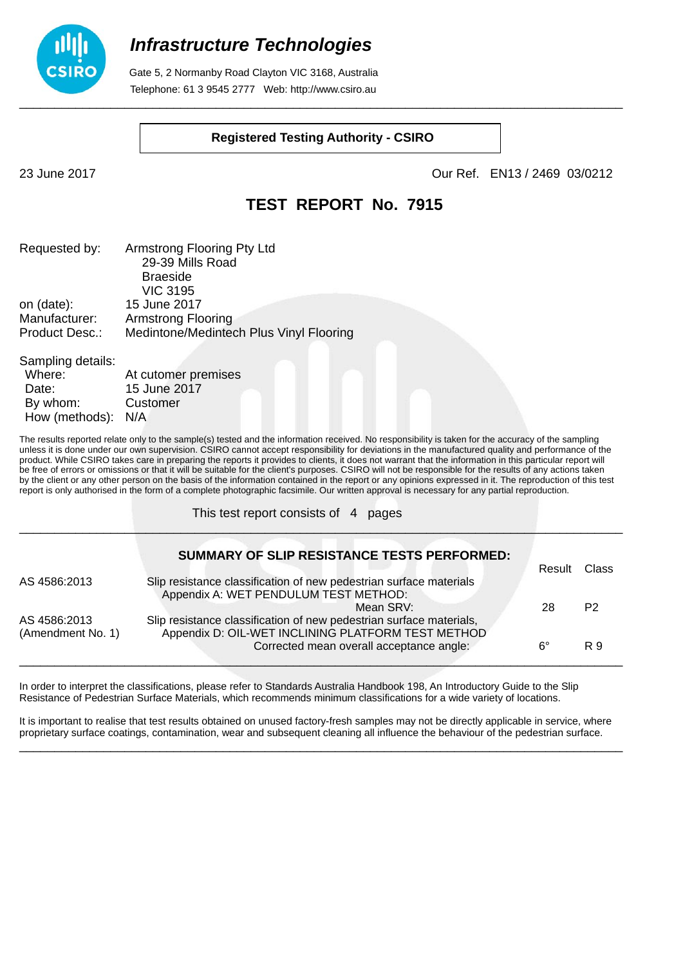

 Gate 5, 2 Normanby Road Clayton VIC 3168, Australia Telephone: 61 3 9545 2777 Web: http://www.csiro.au

#### **Registered Testing Authority - CSIRO**

23 June 2017 Our Ref. EN13 / 2469 03/0212

### **TEST REPORT No. 7915**

| Requested by:  | Armstrong Flooring Pty Ltd              |
|----------------|-----------------------------------------|
|                | 29-39 Mills Road                        |
|                | <b>Braeside</b>                         |
|                | <b>VIC 3195</b>                         |
| on (date):     | 15 June 2017                            |
| Manufacturer:  | <b>Armstrong Flooring</b>               |
| Product Desc.: | Medintone/Medintech Plus Vinyl Flooring |
|                |                                         |

Sampling details: Where: At cutomer premises Date: 15 June 2017 By whom: Customer How (methods): N/A

The results reported relate only to the sample(s) tested and the information received. No responsibility is taken for the accuracy of the sampling unless it is done under our own supervision. CSIRO cannot accept responsibility for deviations in the manufactured quality and performance of the product. While CSIRO takes care in preparing the reports it provides to clients, it does not warrant that the information in this particular report will be free of errors or omissions or that it will be suitable for the client's purposes. CSIRO will not be responsible for the results of any actions taken by the client or any other person on the basis of the information contained in the report or any opinions expressed in it. The reproduction of this test report is only authorised in the form of a complete photographic facsimile. Our written approval is necessary for any partial reproduction.

This test report consists of 4 pages

|                                   | <b>SUMMARY OF SLIP RESISTANCE TESTS PERFORMED:</b>                                                                        |        |                |
|-----------------------------------|---------------------------------------------------------------------------------------------------------------------------|--------|----------------|
| AS 4586:2013                      | Slip resistance classification of new pedestrian surface materials                                                        | Result | Class          |
|                                   | Appendix A: WET PENDULUM TEST METHOD:                                                                                     |        |                |
|                                   | Mean SRV:                                                                                                                 | 28     | P <sub>2</sub> |
| AS 4586:2013<br>(Amendment No. 1) | Slip resistance classification of new pedestrian surface materials,<br>Appendix D: OIL-WET INCLINING PLATFORM TEST METHOD |        |                |
|                                   | Corrected mean overall acceptance angle:                                                                                  | 6°     | R 9            |

\_\_\_\_\_\_\_\_\_\_\_\_\_\_\_\_\_\_\_\_\_\_\_\_\_\_\_\_\_\_\_\_\_\_\_\_\_\_\_\_\_\_\_\_\_\_\_\_\_\_\_\_\_\_\_\_\_\_\_\_\_\_\_\_\_\_\_\_\_\_\_\_\_\_\_\_\_\_\_\_\_\_\_\_\_\_

In order to interpret the classifications, please refer to Standards Australia Handbook 198, An Introductory Guide to the Slip Resistance of Pedestrian Surface Materials, which recommends minimum classifications for a wide variety of locations.

It is important to realise that test results obtained on unused factory-fresh samples may not be directly applicable in service, where proprietary surface coatings, contamination, wear and subsequent cleaning all influence the behaviour of the pedestrian surface. \_\_\_\_\_\_\_\_\_\_\_\_\_\_\_\_\_\_\_\_\_\_\_\_\_\_\_\_\_\_\_\_\_\_\_\_\_\_\_\_\_\_\_\_\_\_\_\_\_\_\_\_\_\_\_\_\_\_\_\_\_\_\_\_\_\_\_\_\_\_\_\_\_\_\_\_\_\_\_\_\_\_\_\_\_\_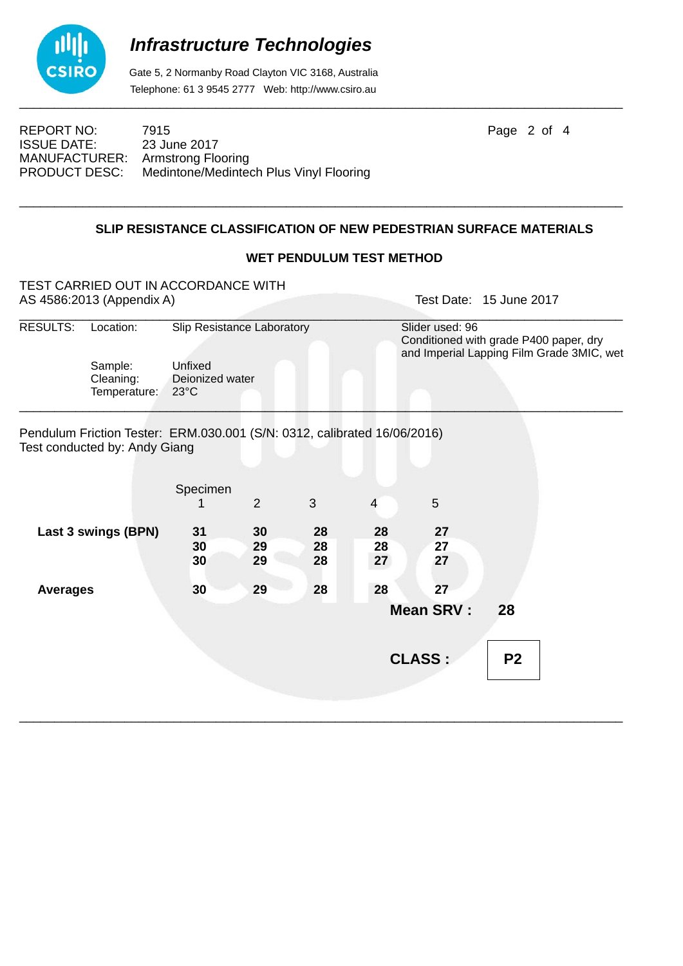

 Gate 5, 2 Normanby Road Clayton VIC 3168, Australia Telephone: 61 3 9545 2777 Web: http://www.csiro.au

ISSUE DATE: 23 June 2017 MANUFACTURER: Armstrong Flooring<br>PRODUCT DESC: Medintone/Medinter

REPORT NO: 7915 **Page 2 of 4** Medintone/Medintech Plus Vinyl Flooring

#### **SLIP RESISTANCE CLASSIFICATION OF NEW PEDESTRIAN SURFACE MATERIALS**

\_\_\_\_\_\_\_\_\_\_\_\_\_\_\_\_\_\_\_\_\_\_\_\_\_\_\_\_\_\_\_\_\_\_\_\_\_\_\_\_\_\_\_\_\_\_\_\_\_\_\_\_\_\_\_\_\_\_\_\_\_\_\_\_\_\_\_\_\_\_\_\_\_\_\_\_\_\_\_\_\_\_\_\_\_\_

#### **WET PENDULUM TEST METHOD**

|                     | TEST CARRIED OUT IN ACCORDANCE WITH<br>AS 4586:2013 (Appendix A)                                          |                                       |                |    |    |                                                                                                        | Test Date: 15 June 2017 |  |
|---------------------|-----------------------------------------------------------------------------------------------------------|---------------------------------------|----------------|----|----|--------------------------------------------------------------------------------------------------------|-------------------------|--|
| <b>RESULTS:</b>     | Location:                                                                                                 | Slip Resistance Laboratory<br>Unfixed |                |    |    | Slider used: 96<br>Conditioned with grade P400 paper, dry<br>and Imperial Lapping Film Grade 3MIC, wet |                         |  |
|                     | Sample:                                                                                                   |                                       |                |    |    |                                                                                                        |                         |  |
|                     | Cleaning:<br>Temperature:                                                                                 | Deionized water<br>$23^{\circ}$ C     |                |    |    |                                                                                                        |                         |  |
|                     | Pendulum Friction Tester: ERM.030.001 (S/N: 0312, calibrated 16/06/2016)<br>Test conducted by: Andy Giang |                                       |                |    |    |                                                                                                        |                         |  |
|                     |                                                                                                           |                                       |                |    |    |                                                                                                        |                         |  |
|                     |                                                                                                           | Specimen                              | $\overline{2}$ | 3  | 4  | 5                                                                                                      |                         |  |
| Last 3 swings (BPN) |                                                                                                           | 31                                    | 30             | 28 | 28 | 27                                                                                                     |                         |  |
|                     |                                                                                                           | 30                                    | 29             | 28 | 28 | 27                                                                                                     |                         |  |
|                     |                                                                                                           | 30                                    | 29             | 28 | 27 | 27                                                                                                     |                         |  |
| <b>Averages</b>     |                                                                                                           | 30                                    | 29             | 28 | 28 | 27                                                                                                     |                         |  |
|                     |                                                                                                           |                                       |                |    |    | <b>Mean SRV:</b>                                                                                       | 28                      |  |
|                     |                                                                                                           |                                       |                |    |    | <b>CLASS:</b>                                                                                          | P <sub>2</sub>          |  |
|                     |                                                                                                           |                                       |                |    |    |                                                                                                        |                         |  |

\_\_\_\_\_\_\_\_\_\_\_\_\_\_\_\_\_\_\_\_\_\_\_\_\_\_\_\_\_\_\_\_\_\_\_\_\_\_\_\_\_\_\_\_\_\_\_\_\_\_\_\_\_\_\_\_\_\_\_\_\_\_\_\_\_\_\_\_\_\_\_\_\_\_\_\_\_\_\_\_\_\_\_\_\_\_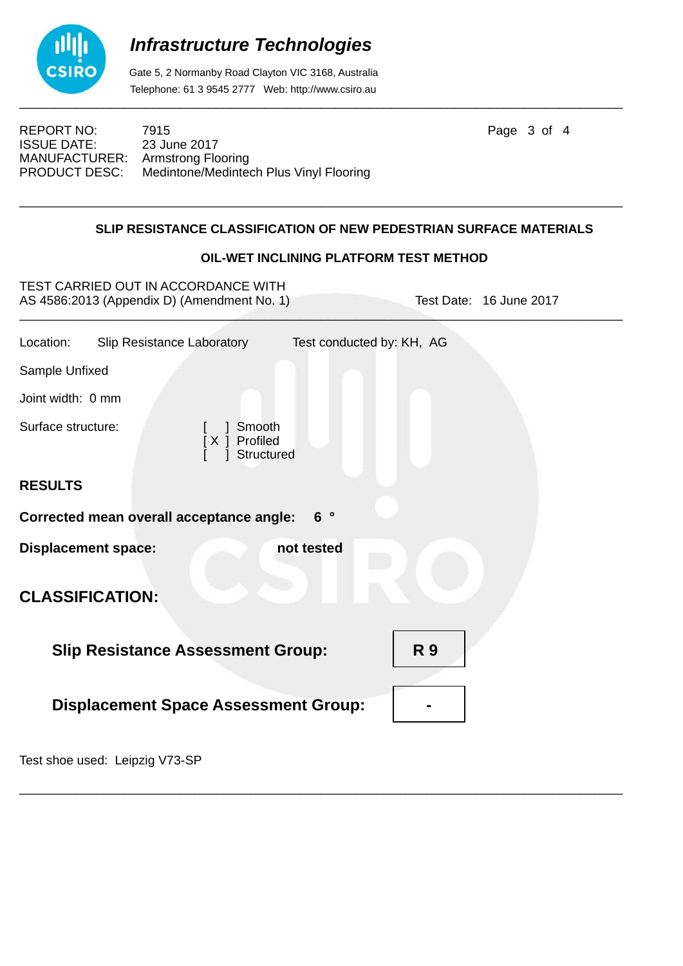

 Gate 5, 2 Normanby Road Clayton VIC 3168, Australia Telephone: 61 3 9545 2777 Web: http://www.csiro.au

ISSUE DATE: 23 June 2017 MANUFACTURER: Armstrong Flooring<br>PRODUCT DESC: Medintone/Medinte

REPORT NO: 7915 7915 Page 3 of 4 Medintone/Medintech Plus Vinyl Flooring

### \_\_\_\_\_\_\_\_\_\_\_\_\_\_\_\_\_\_\_\_\_\_\_\_\_\_\_\_\_\_\_\_\_\_\_\_\_\_\_\_\_\_\_\_\_\_\_\_\_\_\_\_\_\_\_\_\_\_\_\_\_\_\_\_\_\_\_\_\_\_\_\_\_\_\_\_\_\_\_\_\_\_\_\_\_\_ **SLIP RESISTANCE CLASSIFICATION OF NEW PEDESTRIAN SURFACE MATERIALS**

### **OIL-WET INCLINING PLATFORM TEST METHOD**

| TEST CARRIED OUT IN ACCORDANCE WITH<br>AS 4586:2013 (Appendix D) (Amendment No. 1) | Test Date: 16 June 2017   |  |  |  |  |
|------------------------------------------------------------------------------------|---------------------------|--|--|--|--|
| Location:<br><b>Slip Resistance Laboratory</b>                                     | Test conducted by: KH, AG |  |  |  |  |
| Sample Unfixed                                                                     |                           |  |  |  |  |
| Joint width: 0 mm                                                                  |                           |  |  |  |  |
| Surface structure:<br>Smooth<br>[X ] Profiled<br>Structured                        |                           |  |  |  |  |
| <b>RESULTS</b>                                                                     |                           |  |  |  |  |
| Corrected mean overall acceptance angle:                                           | 6 <sup>°</sup>            |  |  |  |  |
| <b>Displacement space:</b>                                                         | not tested                |  |  |  |  |
| <b>CLASSIFICATION:</b>                                                             |                           |  |  |  |  |
| <b>Slip Resistance Assessment Group:</b>                                           | <b>R9</b>                 |  |  |  |  |
| <b>Displacement Space Assessment Group:</b>                                        |                           |  |  |  |  |
|                                                                                    |                           |  |  |  |  |

\_\_\_\_\_\_\_\_\_\_\_\_\_\_\_\_\_\_\_\_\_\_\_\_\_\_\_\_\_\_\_\_\_\_\_\_\_\_\_\_\_\_\_\_\_\_\_\_\_\_\_\_\_\_\_\_\_\_\_\_\_\_\_\_\_\_\_\_\_\_\_\_\_\_\_\_\_\_\_\_\_\_\_\_\_\_

Test shoe used: Leipzig V73-SP